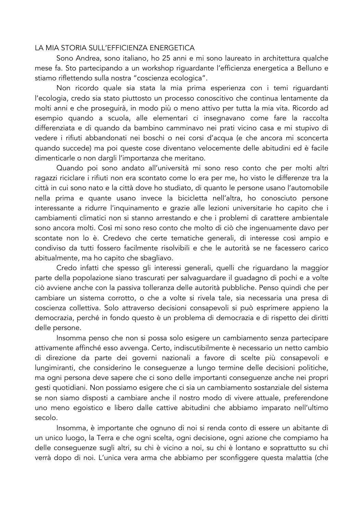## LA MIA STORIA SULL'EFFICIENZA ENERGETICA

Sono Andrea, sono italiano, ho 25 anni e mi sono laureato in architettura qualche mese fa. Sto partecipando a un workshop riguardante l'efficienza energetica a Belluno e stiamo riflettendo sulla nostra "coscienza ecologica".

Non ricordo quale sia stata la mia prima esperienza con i temi riguardanti l'ecologia, credo sia stato piuttosto un processo conoscitivo che continua lentamente da molti anni e che proseguirà, in modo più o meno attivo per tutta la mia vita. Ricordo ad esempio quando a scuola, alle elementari ci insegnavano come fare la raccolta differenziata e di quando da bambino camminavo nei prati vicino casa e mi stupivo di vedere i rifiuti abbandonati nei boschi o nei corsi d'acqua (e che ancora mi sconcerta quando succede) ma poi queste cose diventano velocemente delle abitudini ed è facile dimenticarle o non dargli l'importanza che meritano.

Quando poi sono andato all'università mi sono reso conto che per molti altri ragazzi riciclare i rifiuti non era scontato come lo era per me, ho visto le differenze tra la città in cui sono nato e la città dove ho studiato, di quanto le persone usano l'automobile nella prima e quante usano invece la bicicletta nell'altra, ho conosciuto persone interessante a ridurre l'inquinamento e grazie alle lezioni universitarie ho capito che i cambiamenti climatici non si stanno arrestando e che i problemi di carattere ambientale sono ancora molti. Così mi sono reso conto che molto di ciò che ingenuamente davo per scontate non lo è. Credevo che certe tematiche generali, di interesse così ampio e condiviso da tutti fossero facilmente risolvibili e che le autorità se ne facessero carico abitualmente, ma ho capito che sbagliavo.

Credo infatti che spesso gli interessi generali, quelli che riguardano la maggior parte della popolazione siano trascurati per salvaguardare il guadagno di pochi e a volte ciò avviene anche con la passiva tolleranza delle autorità pubbliche. Penso quindi che per cambiare un sistema corrotto, o che a volte si rivela tale, sia necessaria una presa di coscienza collettiva. Solo attraverso decisioni consapevoli si può esprimere appieno la democrazia, perché in fondo questo è un problema di democrazia e di rispetto dei diritti delle persone.

Insomma penso che non si possa solo esigere un cambiamento senza partecipare attivamente affinché esso avvenga. Certo, indiscutibilmente è necessario un netto cambio di direzione da parte dei governi nazionali a favore di scelte più consapevoli e lungimiranti, che considerino le conseguenze a lungo termine delle decisioni politiche, ma ogni persona deve sapere che ci sono delle importanti conseguenze anche nei propri gesti quotidiani. Non possiamo esigere che ci sia un cambiamento sostanziale del sistema se non siamo disposti a cambiare anche il nostro modo di vivere attuale, preferendone uno meno egoistico e libero dalle cattive abitudini che abbiamo imparato nell'ultimo secolo.

Insomma, è importante che ognuno di noi si renda conto di essere un abitante di un unico luogo, la Terra e che ogni scelta, ogni decisione, ogni azione che compiamo ha delle conseguenze sugli altri, su chi è vicino a noi, su chi è lontano e soprattutto su chi verrà dopo di noi. L'unica vera arma che abbiamo per sconfiggere questa malattia (che